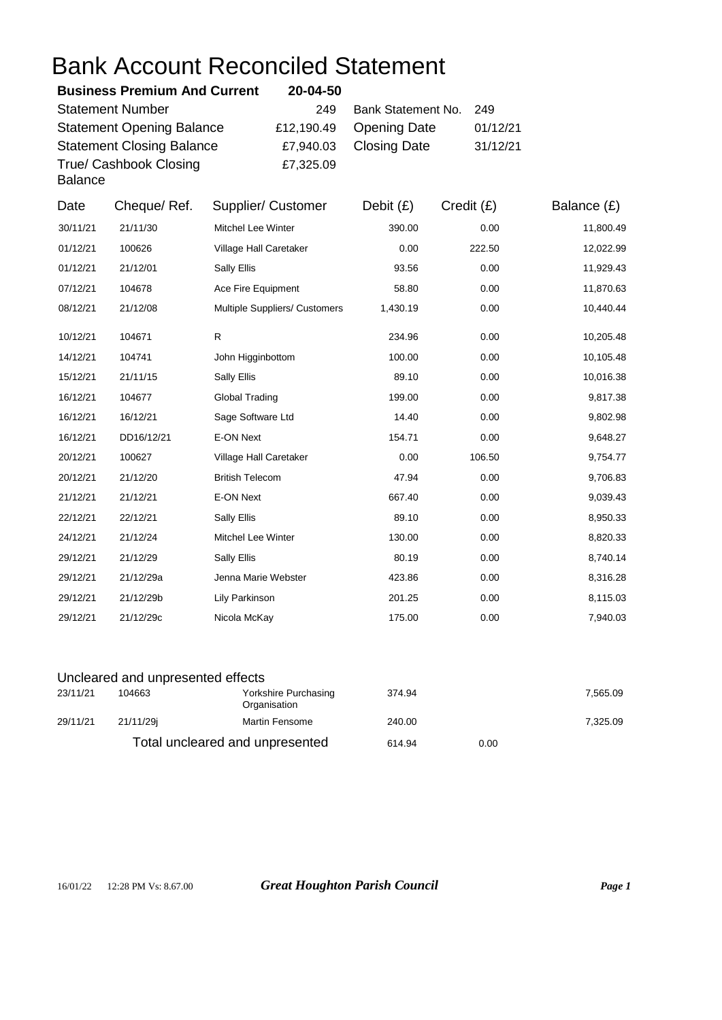## Bank Account Reconciled Statement

| <b>Business Premium And Current</b> | 20-04-50  |                         |          |
|-------------------------------------|-----------|-------------------------|----------|
| <b>Statement Number</b>             | 249       | Bank Statement No. 249  |          |
| <b>Statement Opening Balance</b>    |           | £12,190.49 Opening Date | 01/12/21 |
| <b>Statement Closing Balance</b>    | £7,940.03 | Closing Date            | 31/12/21 |
| True/ Cashbook Closing              | £7,325.09 |                         |          |
| <b>Balance</b>                      |           |                         |          |

| Date     | Cheque/Ref. | Supplier/ Customer            | Debit $(E)$ | Credit (£) | Balance (£) |
|----------|-------------|-------------------------------|-------------|------------|-------------|
| 30/11/21 | 21/11/30    | Mitchel Lee Winter            | 390.00      | 0.00       | 11,800.49   |
| 01/12/21 | 100626      | Village Hall Caretaker        | 0.00        | 222.50     | 12,022.99   |
| 01/12/21 | 21/12/01    | Sally Ellis                   | 93.56       | 0.00       | 11,929.43   |
| 07/12/21 | 104678      | Ace Fire Equipment            | 58.80       | 0.00       | 11,870.63   |
| 08/12/21 | 21/12/08    | Multiple Suppliers/ Customers | 1,430.19    | 0.00       | 10,440.44   |
| 10/12/21 | 104671      | $\mathsf{R}$                  | 234.96      | 0.00       | 10,205.48   |
| 14/12/21 | 104741      | John Higginbottom             | 100.00      | 0.00       | 10,105.48   |
| 15/12/21 | 21/11/15    | Sally Ellis                   | 89.10       | 0.00       | 10,016.38   |
| 16/12/21 | 104677      | Global Trading                | 199.00      | 0.00       | 9,817.38    |
| 16/12/21 | 16/12/21    | Sage Software Ltd             | 14.40       | 0.00       | 9,802.98    |
| 16/12/21 | DD16/12/21  | E-ON Next                     | 154.71      | 0.00       | 9,648.27    |
| 20/12/21 | 100627      | Village Hall Caretaker        | 0.00        | 106.50     | 9,754.77    |
| 20/12/21 | 21/12/20    | <b>British Telecom</b>        | 47.94       | 0.00       | 9,706.83    |
| 21/12/21 | 21/12/21    | <b>E-ON Next</b>              | 667.40      | 0.00       | 9,039.43    |
| 22/12/21 | 22/12/21    | Sally Ellis                   | 89.10       | 0.00       | 8,950.33    |
| 24/12/21 | 21/12/24    | Mitchel Lee Winter            | 130.00      | 0.00       | 8,820.33    |
| 29/12/21 | 21/12/29    | <b>Sally Ellis</b>            | 80.19       | 0.00       | 8,740.14    |
| 29/12/21 | 21/12/29a   | Jenna Marie Webster           | 423.86      | 0.00       | 8,316.28    |
| 29/12/21 | 21/12/29b   | Lily Parkinson                | 201.25      | 0.00       | 8,115.03    |
| 29/12/21 | 21/12/29c   | Nicola McKay                  | 175.00      | 0.00       | 7,940.03    |

|                                 | Uncleared and unpresented effects |                                      |        |      |          |
|---------------------------------|-----------------------------------|--------------------------------------|--------|------|----------|
| 23/11/21                        | 104663                            | Yorkshire Purchasing<br>Organisation | 374.94 |      | 7.565.09 |
| 29/11/21                        | 21/11/29i                         | <b>Martin Fensome</b>                | 240.00 |      | 7.325.09 |
| Total uncleared and unpresented |                                   |                                      | 614.94 | 0.00 |          |

16/01/22 12:28 PM Vs: 8.67.00 *Great Houghton Parish Council Page 1*